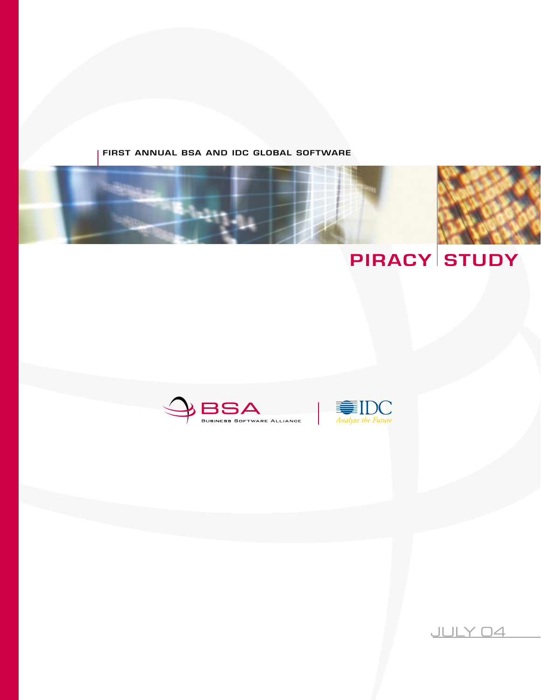### **FIRST ANNUAL BSA AND IDC GLOBAL SOFTWARE**







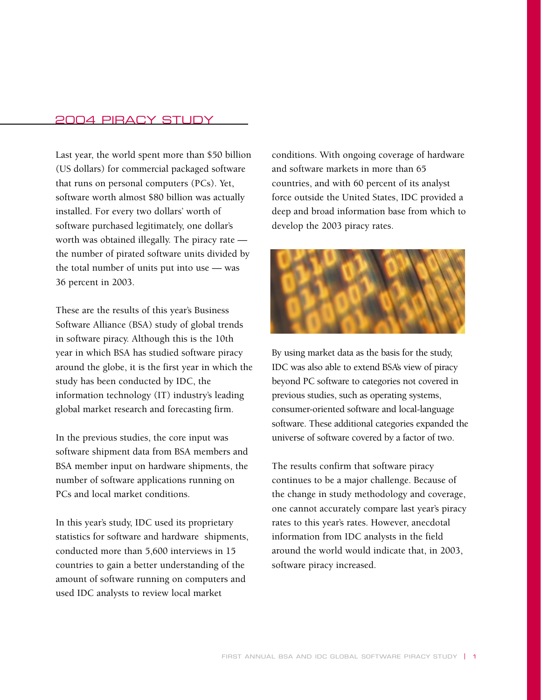### 2004 PIRACY STUDY

Last year, the world spent more than \$50 billion (US dollars) for commercial packaged software that runs on personal computers (PCs). Yet, software worth almost \$80 billion was actually installed. For every two dollars' worth of software purchased legitimately, one dollar's worth was obtained illegally. The piracy rate the number of pirated software units divided by the total number of units put into use — was 36 percent in 2003.

These are the results of this year's Business Software Alliance (BSA) study of global trends in software piracy. Although this is the 10th year in which BSA has studied software piracy around the globe, it is the first year in which the study has been conducted by IDC, the information technology (IT) industry's leading global market research and forecasting firm.

In the previous studies, the core input was software shipment data from BSA members and BSA member input on hardware shipments, the number of software applications running on PCs and local market conditions.

In this year's study, IDC used its proprietary statistics for software and hardware shipments, conducted more than 5,600 interviews in 15 countries to gain a better understanding of the amount of software running on computers and used IDC analysts to review local market

conditions. With ongoing coverage of hardware and software markets in more than 65 countries, and with 60 percent of its analyst force outside the United States, IDC provided a deep and broad information base from which to develop the 2003 piracy rates.



By using market data as the basis for the study, IDC was also able to extend BSA's view of piracy beyond PC software to categories not covered in previous studies, such as operating systems, consumer-oriented software and local-language software. These additional categories expanded the universe of software covered by a factor of two.

The results confirm that software piracy continues to be a major challenge. Because of the change in study methodology and coverage, one cannot accurately compare last year's piracy rates to this year's rates. However, anecdotal information from IDC analysts in the field around the world would indicate that, in 2003, software piracy increased.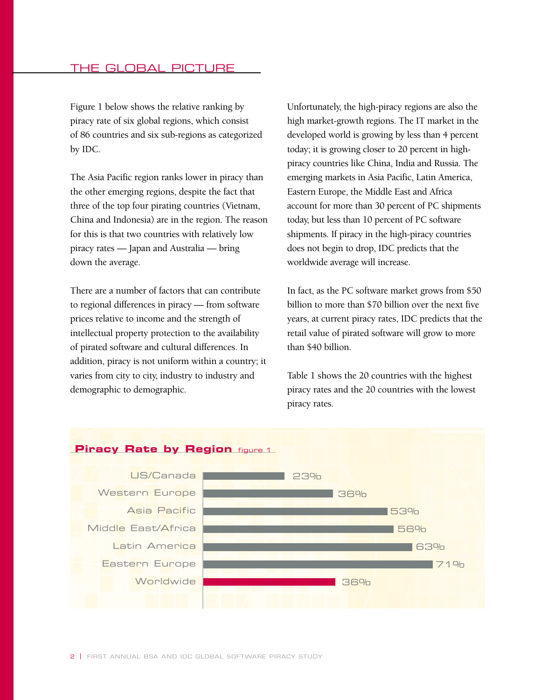Figure 1 below shows the relative ranking by piracy rate of six global regions, which consist of 86 countries and six sub-regions as categorized by IDC.

The Asia Pacific region ranks lower in piracy than the other emerging regions, despite the fact that three of the top four pirating countries (Vietnam, China and Indonesia) are in the region. The reason for this is that two countries with relatively low piracy rates — Japan and Australia — bring down the average.

There are a number of factors that can contribute to regional differences in piracy — from software prices relative to income and the strength of intellectual property protection to the availability of pirated software and cultural differences. In addition, piracy is not uniform within a country; it varies from city to city, industry to industry and demographic to demographic.

Unfortunately, the high-piracy regions are also the high market-growth regions. The IT market in the developed world is growing by less than 4 percent today; it is growing closer to 20 percent in highpiracy countries like China, India and Russia. The emerging markets in Asia Pacific, Latin America, Eastern Europe, the Middle East and Africa account for more than 30 percent of PC shipments today, but less than 10 percent of PC software shipments. If piracy in the high-piracy countries does not begin to drop, IDC predicts that the worldwide average will increase.

In fact, as the PC software market grows from \$50 billion to more than \$70 billion over the next five years, at current piracy rates, IDC predicts that the retail value of pirated software will grow to more than \$40 billion.

Table 1 shows the 20 countries with the highest piracy rates and the 20 countries with the lowest piracy rates.



2 | FIRST ANNUAL BSA AND IDC GLOBAL SOFTWARE PIRACY STUDY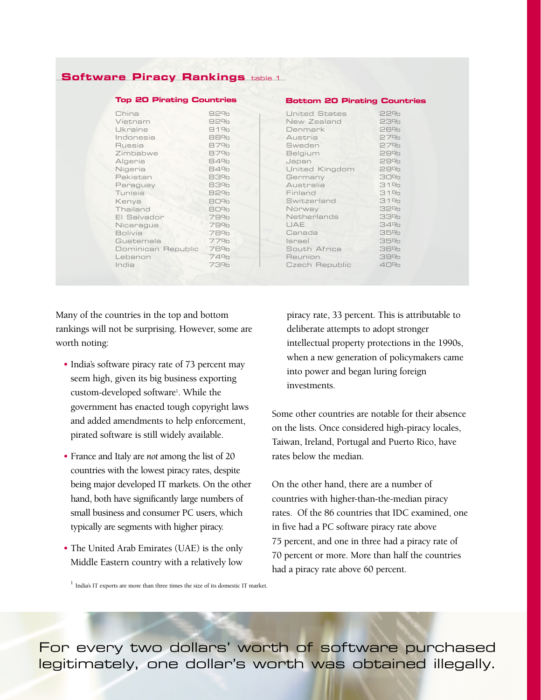### **Software Piracy Rankings table 1**

| <b>Top 20 Pirating Countries</b> |     | <b>Bottom 20 Pirating Countries</b> |     |
|----------------------------------|-----|-------------------------------------|-----|
| China                            | 92% | <b>United States</b>                | 22% |
| Vietnam                          | 92% | New Zealand                         | 23% |
| Ukraine                          | 91% | Denmark                             | 26% |
| Indonesia                        | 88% | Austria                             | 27% |
| Russia                           | 87% | Sweden                              | 27% |
| Zimbabwe                         | 87% | Belgium                             | 29% |
| Algeria                          | 84% | Japan                               | 29% |
| Nigeria                          | 84% | United Kingdom                      | 29% |
| Pakistan                         | 83% | Germany                             | 30% |
| Paraguay                         | 83% | Australia                           | 31% |
| Tunisia                          | 82% | Finland                             | 31% |
| Kenya                            | 80% | Switzerland                         | 31% |
| Thailand                         | 80% | Norway                              | 32% |
| El Salvador                      | 79% | Netherlands                         | 33% |
| Nicaragua                        | 79% | UAE                                 | 34% |
| <b>Bolivia</b>                   | 78% | Canada                              | 35% |
| Guatemala                        | 77% | Israel                              | 35% |
| Dominican Republic               | 76% | South Africa                        | 36% |
| Lebanon                          | 74% | Reunion                             | 39% |
| India                            | 73% | Czech Republic                      | 40% |

Many of the countries in the top and bottom rankings will not be surprising. However, some are worth noting:

- India's software piracy rate of 73 percent may seem high, given its big business exporting custom-developed software<sup>1</sup>. While the government has enacted tough copyright laws and added amendments to help enforcement, pirated software is still widely available.
- France and Italy are *not* among the list of 20 countries with the lowest piracy rates, despite being major developed IT markets. On the other hand, both have significantly large numbers of small business and consumer PC users, which typically are segments with higher piracy.
- The United Arab Emirates (UAE) is the only Middle Eastern country with a relatively low

piracy rate, 33 percent. This is attributable to deliberate attempts to adopt stronger intellectual property protections in the 1990s, when a new generation of policymakers came into power and began luring foreign investments.

Some other countries are notable for their absence on the lists. Once considered high-piracy locales, Taiwan, Ireland, Portugal and Puerto Rico, have rates below the median.

On the other hand, there are a number of countries with higher-than-the-median piracy rates. Of the 86 countries that IDC examined, one in five had a PC software piracy rate above 75 percent, and one in three had a piracy rate of 70 percent or more. More than half the countries had a piracy rate above 60 percent.

 $^{\rm 1}$  India's IT exports are more than three times the size of its domestic IT market.

For every two dollars' worth of software purchased legitimately, one dollar's worth was obtained illegally.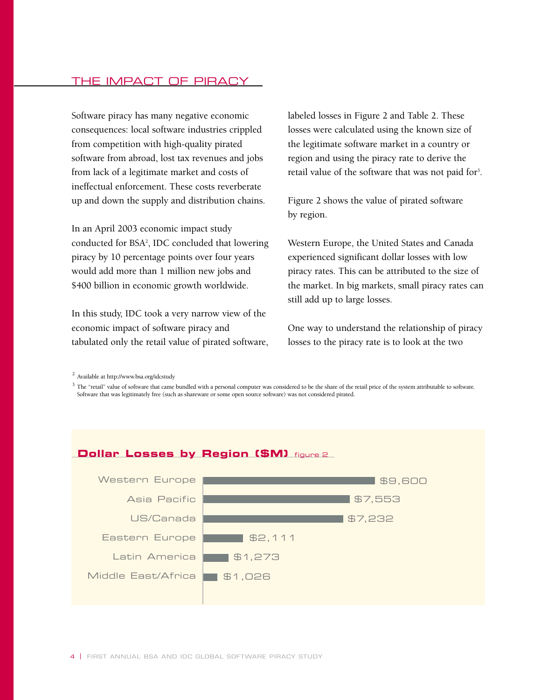### THE IMPACT OF PIRACY

Software piracy has many negative economic consequences: local software industries crippled from competition with high-quality pirated software from abroad, lost tax revenues and jobs from lack of a legitimate market and costs of ineffectual enforcement. These costs reverberate up and down the supply and distribution chains.

In an April 2003 economic impact study conducted for BSA2 , IDC concluded that lowering piracy by 10 percentage points over four years would add more than 1 million new jobs and \$400 billion in economic growth worldwide.

In this study, IDC took a very narrow view of the economic impact of software piracy and tabulated only the retail value of pirated software, labeled losses in Figure 2 and Table 2. These losses were calculated using the known size of the legitimate software market in a country or region and using the piracy rate to derive the retail value of the software that was not paid for<sup>3</sup>.

Figure 2 shows the value of pirated software by region.

Western Europe, the United States and Canada experienced significant dollar losses with low piracy rates. This can be attributed to the size of the market. In big markets, small piracy rates can still add up to large losses.

One way to understand the relationship of piracy losses to the piracy rate is to look at the two

 $3$  The "retail" value of software that came bundled with a personal computer was considered to be the share of the retail price of the system attributable to software. Software that was legitimately free (such as shareware or some open source software) was not considered pirated.



4 | FIRST ANNUAL BSA AND IDC GLOBAL SOFTWARE PIRACY STUDY

<sup>2</sup> Available at http://www.bsa.org/idcstudy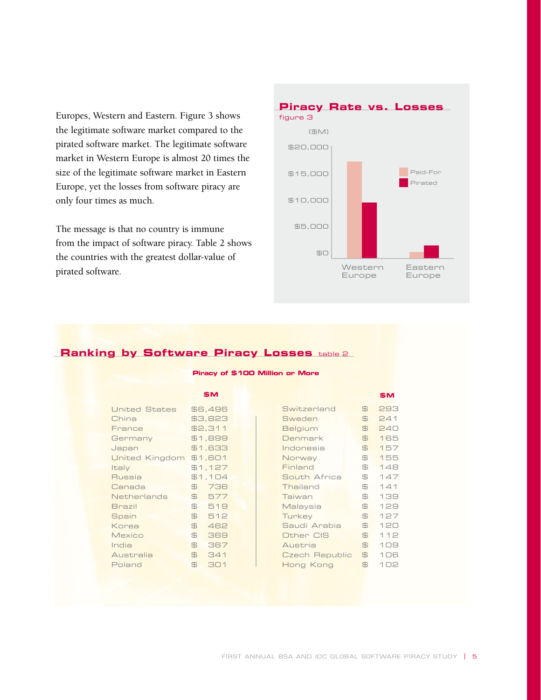Europes, Western and Eastern. Figure 3 shows the legitimate software market compared to the pirated software market. The legitimate software market in Western Europe is almost 20 times the size of the legitimate software market in Eastern Europe, yet the losses from software piracy are only four times as much.

The message is that no country is immune from the impact of software piracy. Table 2 shows the countries with the greatest dollar-value of pirated software.



### **Ranking by Software Piracy Losses** table 2

#### **Piracy of \$100 Million or More**

|                      |                | \$M             |  |                |                | \$M |
|----------------------|----------------|-----------------|--|----------------|----------------|-----|
| <b>United States</b> |                | \$6,496         |  | Switzerland    | $\oplus$       | 293 |
| China                |                | \$3,823         |  | Sweden         | $\oplus$       | 241 |
| France               |                | \$2,311         |  | <b>Belgium</b> | $\oplus$       | 240 |
| Germany              |                | \$1,899         |  | Denmark        | $\mathbb{B}$   | 165 |
| Japan                |                | <b>EEA, 1\$</b> |  | Indonesia      | $\oplus$       | 157 |
| United Kingdom       |                | \$1,601         |  | Norway         | $\oplus$       | 155 |
| Italy                |                | \$1,127         |  | Finland        | $\oplus$       | 148 |
| Russia               |                | \$1,104         |  | South Africa   | $\oplus$       | 147 |
| Canada               | $\oplus$       | 736             |  | Thailand       | $\oplus$       | 141 |
| <b>Netherlands</b>   | $\mathbb{E}$   | 577             |  | Taiwan         | $\oplus$       | 139 |
| <b>Brazil</b>        | $\oplus$       | 519             |  | Malaysia       | $\mathbb{B}$   | 129 |
| Spain                | $\oplus$       | 512             |  | Turkey         | $\mathbb{B}$   | 127 |
| Korea                | $\mathbb{B}$   | 462             |  | Saudi Arabia   | $\oplus$       | 120 |
| <b>Mexico</b>        | $\mathbb{B}$   | 369             |  | Other CIS      | $\mathfrak{B}$ | 112 |
| India                | $\mathfrak{B}$ | 367             |  | Austria        | $\mathfrak{B}$ | 109 |
| Australia            | $\mathbb{B}$   | 341             |  | Czech Republic | $\mathbb{B}$   | 106 |
| Poland               | $\mathbb{B}$   | 301             |  | Hong Kong      | $\mathbb{B}$   | 102 |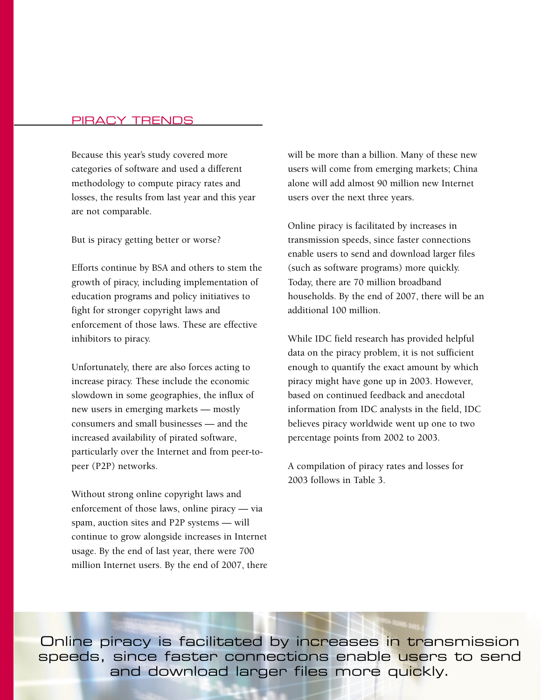### PIRACY TRENDS

Because this year's study covered more categories of software and used a different methodology to compute piracy rates and losses, the results from last year and this year are not comparable.

But is piracy getting better or worse?

Efforts continue by BSA and others to stem the growth of piracy, including implementation of education programs and policy initiatives to fight for stronger copyright laws and enforcement of those laws. These are effective inhibitors to piracy.

Unfortunately, there are also forces acting to increase piracy. These include the economic slowdown in some geographies, the influx of new users in emerging markets — mostly consumers and small businesses — and the increased availability of pirated software, particularly over the Internet and from peer-topeer (P2P) networks.

Without strong online copyright laws and enforcement of those laws, online piracy — via spam, auction sites and P2P systems — will continue to grow alongside increases in Internet usage. By the end of last year, there were 700 million Internet users. By the end of 2007, there will be more than a billion. Many of these new users will come from emerging markets; China alone will add almost 90 million new Internet users over the next three years.

Online piracy is facilitated by increases in transmission speeds, since faster connections enable users to send and download larger files (such as software programs) more quickly. Today, there are 70 million broadband households. By the end of 2007, there will be an additional 100 million.

While IDC field research has provided helpful data on the piracy problem, it is not sufficient enough to quantify the exact amount by which piracy might have gone up in 2003. However, based on continued feedback and anecdotal information from IDC analysts in the field, IDC believes piracy worldwide went up one to two percentage points from 2002 to 2003.

A compilation of piracy rates and losses for 2003 follows in Table 3.

Online piracy is facilitated by increases in transmission speeds, since faster connections enable users to send and download larger files more quickly.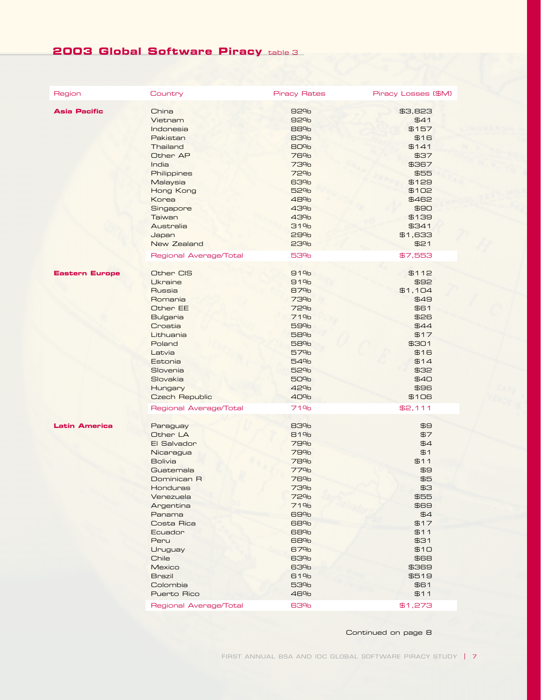# **2003 Global Software Piracy** table 3

| Region                | Country                | <b>Piracy Rates</b> | Piracy Losses (\$M) |
|-----------------------|------------------------|---------------------|---------------------|
| <b>Asia Pacific</b>   | China                  | 92%                 | \$3,823             |
|                       | Vietnam                | 92%                 | \$41                |
|                       | Indonesia              | 88%                 | \$157               |
|                       | Pakistan               | 83%                 | \$16                |
|                       | Thailand               | 80%                 | \$141               |
|                       | Other AP               | 76%                 | \$37                |
|                       | India                  | 73%                 | \$367               |
|                       | Philippines            | 72%                 | \$55                |
|                       | Malaysia               | 63%                 | \$129               |
|                       | Hong Kong              | 52%                 | \$102               |
|                       | Korea                  | 48%                 | \$462               |
|                       | Singapore              | 43%                 | \$90                |
|                       | Taiwan                 | 43%                 | \$139               |
|                       | Australia              | 31%                 | \$341               |
|                       | Japan                  | 29%                 | \$1,633             |
|                       | New Zealand            | 23%                 | \$21                |
|                       | Regional Average/Total | 53%                 | \$7,553             |
| <b>Eastern Europe</b> | Other CIS              | 91%                 | \$112               |
|                       | <b>Ukraine</b>         | 91%                 | \$92                |
|                       | Russia                 | 87%                 | \$1,104             |
|                       | Romania                | <b>73%</b>          | \$49                |
|                       | Other EE               | 72%                 | \$61                |
|                       | <b>Bulgaria</b>        | 71%                 | \$26                |
|                       | Croatia                | 59%                 | \$44                |
|                       | Lithuania              | 58%                 | \$17                |
|                       | Poland                 | 58%                 | \$301               |
|                       | Latvia                 | 57%                 | \$16                |
|                       | Estonia                | 54%                 | \$14                |
|                       | Slovenia               | 52%                 | 532                 |
|                       | Slovakia               | 50%                 | \$40                |
|                       | Hungary                | 42%                 | \$96                |
|                       | <b>Czech Republic</b>  | 40%                 | \$1O6               |
|                       | Regional Average/Total | <b>71%</b>          | \$2,111             |
| <b>Latin America</b>  | Paraguay               | 83%                 | EB                  |
|                       | Other LA               | 81%                 | \$7                 |
|                       | El Salvador            | 79%                 | \$4                 |
|                       | Nicaragua              | 79%                 | \$1                 |
|                       | <b>Bolivia</b>         | 78%                 | \$11                |
|                       | Guatemala              | 77%                 | \$9                 |
|                       | Dominican R            | 76%                 | \$5                 |
|                       | <b>Honduras</b>        | 73%                 | EE                  |
|                       | Venezuela              | 72%                 | \$55                |
|                       | Argentina              | <b>71%</b>          | 989                 |
|                       | Panama                 | 69%                 | \$4                 |
|                       | Costa Rica             | 68%                 | \$17                |
|                       | Ecuador                | 68%                 | \$11                |
|                       | Peru                   | 68%                 | \$31                |
|                       | Uruguay                | 67%                 | \$10                |
|                       | Chile                  | 63%                 | 888                 |
|                       | Mexico                 | 63%                 | \$369               |
|                       | <b>Brazil</b>          | 61%                 | \$519               |
|                       | Colombia               | 53%                 | \$61                |
|                       | Puerto Rico            | 46%                 | \$11                |
|                       | Regional Average/Total | 63%                 | \$1,273             |

Continued on page 8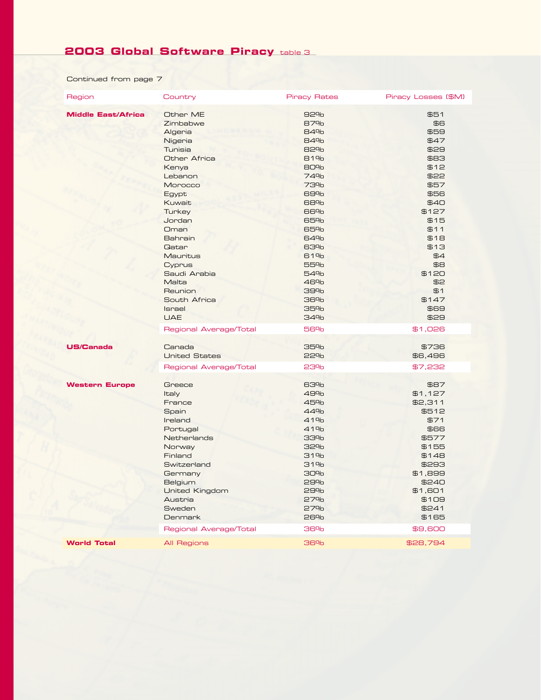# **2003 Global Software Piracy** table 3

Continued from page 7

| Region                    | Country                                                                                                                                                                                                                                                                                                           | <b>Piracy Rates</b>                                                                                                                                                                | Piracy Losses (\$M)                                                                                                                                                                                                   |
|---------------------------|-------------------------------------------------------------------------------------------------------------------------------------------------------------------------------------------------------------------------------------------------------------------------------------------------------------------|------------------------------------------------------------------------------------------------------------------------------------------------------------------------------------|-----------------------------------------------------------------------------------------------------------------------------------------------------------------------------------------------------------------------|
| <b>Middle East/Africa</b> | Other ME<br>Zimbabwe<br>Algeria<br>Nigeria<br><b>Tunisia</b><br>Other Africa<br>Kenya<br>Lebanon<br>Morocco<br>Egypt<br>Kuwait<br>Turkey<br>Jordan<br>Oman<br>Bahrain<br><b>Gatar</b><br>Mauritus<br>Cyprus<br>Saudi Arabia<br>Malta<br>Reunion<br>South Africa<br>Israel<br><b>UAE</b><br>Regional Average/Total | 92%<br>87%<br>84%<br>84%<br>82%<br>81%<br>80%<br>74%<br><b>73%</b><br>69%<br>68%<br>66%<br>65%<br>65%<br>64%<br>63%<br>61%<br>55%<br>54%<br>46%<br>39%<br>36%<br>35%<br>34%<br>56% | \$51<br>$\overline{B}$<br>\$59<br>\$47<br>\$29<br><b>SB3</b><br>\$12<br>\$22<br>\$57<br>\$56<br>\$40<br>\$127<br>\$15<br>\$11<br>\$18<br>\$13<br>\$4<br>EB<br>\$120<br>\$2<br>\$1<br>\$147<br>\$69<br>\$29<br>\$1,026 |
| <b>US/Canada</b>          | Canada<br><b>United States</b><br>Regional Average/Total                                                                                                                                                                                                                                                          | 35%<br>22%<br>23%                                                                                                                                                                  | \$736<br>\$6,496<br>\$7,232                                                                                                                                                                                           |
| <b>Western Europe</b>     | Greece<br><b>Italy</b><br>France<br>Spain<br>Ireland<br>Portugal<br>Netherlands<br>Norway<br>Finland<br>Switzerland<br>Germany<br>Belgium<br><b>United Kingdom</b><br>Austria<br>Sweden<br><b>Denmark</b>                                                                                                         | 63%<br>49%<br>45%<br>44%<br>41%<br>41%<br>33%<br>32%<br>31%<br>31%<br>30%<br>29%<br>29%<br>27%<br>27%<br>26%<br>36%                                                                | \$87<br>\$1,127<br>\$2,311<br>\$512<br>\$71<br>\$66<br>\$577<br>\$155<br>\$148<br>\$293<br>\$1,899<br>\$240<br>\$1,601<br>\$1O9<br>\$241<br>\$165<br>\$9,600                                                          |
| <b>World Total</b>        | Regional Average/Total<br>All Regions                                                                                                                                                                                                                                                                             | 36%                                                                                                                                                                                | \$28,794                                                                                                                                                                                                              |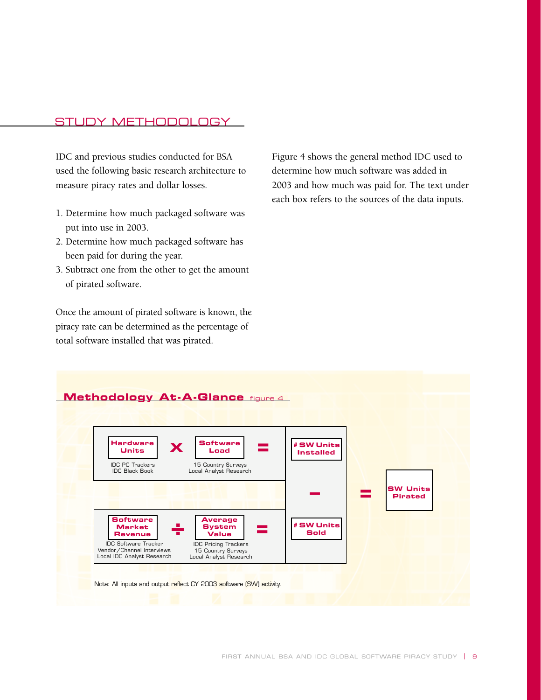### STUDY METHODOLOGY

IDC and previous studies conducted for BSA used the following basic research architecture to measure piracy rates and dollar losses.

- 1. Determine how much packaged software was put into use in 2003.
- 2. Determine how much packaged software has been paid for during the year.
- 3. Subtract one from the other to get the amount of pirated software.

Once the amount of pirated software is known, the piracy rate can be determined as the percentage of total software installed that was pirated.

Figure 4 shows the general method IDC used to determine how much software was added in 2003 and how much was paid for. The text under each box refers to the sources of the data inputs.

### **Methodology At-A-Glance** figure 4

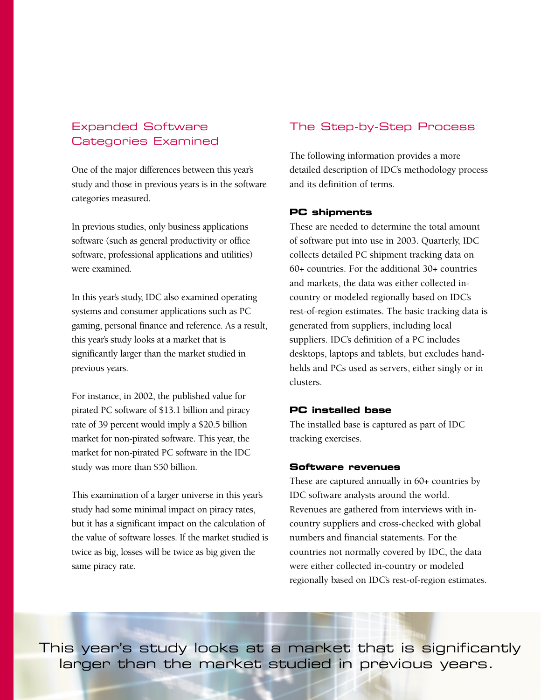### Expanded Software Categories Examined

One of the major differences between this year's study and those in previous years is in the software categories measured.

In previous studies, only business applications software (such as general productivity or office software, professional applications and utilities) were examined.

In this year's study, IDC also examined operating systems and consumer applications such as PC gaming, personal finance and reference. As a result, this year's study looks at a market that is significantly larger than the market studied in previous years.

For instance, in 2002, the published value for pirated PC software of \$13.1 billion and piracy rate of 39 percent would imply a \$20.5 billion market for non-pirated software. This year, the market for non-pirated PC software in the IDC study was more than \$50 billion.

This examination of a larger universe in this year's study had some minimal impact on piracy rates, but it has a significant impact on the calculation of the value of software losses. If the market studied is twice as big, losses will be twice as big given the same piracy rate.

### The Step-by-Step Process

The following information provides a more detailed description of IDC's methodology process and its definition of terms.

### **PC shipments**

These are needed to determine the total amount of software put into use in 2003. Quarterly, IDC collects detailed PC shipment tracking data on 60+ countries. For the additional 30+ countries and markets, the data was either collected incountry or modeled regionally based on IDC's rest-of-region estimates. The basic tracking data is generated from suppliers, including local suppliers. IDC's definition of a PC includes desktops, laptops and tablets, but excludes handhelds and PCs used as servers, either singly or in clusters.

### **PC installed base**

The installed base is captured as part of IDC tracking exercises.

### **Software revenues**

These are captured annually in 60+ countries by IDC software analysts around the world. Revenues are gathered from interviews with incountry suppliers and cross-checked with global numbers and financial statements. For the countries not normally covered by IDC, the data were either collected in-country or modeled regionally based on IDC's rest-of-region estimates.

This year's study looks at a market that is significantly larger than the market studied in previous years.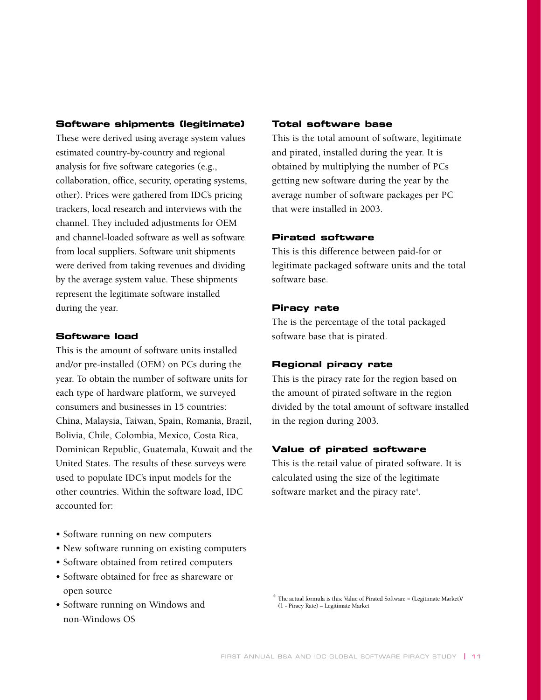### **Software shipments (legitimate)**

These were derived using average system values estimated country-by-country and regional analysis for five software categories (e.g., collaboration, office, security, operating systems, other). Prices were gathered from IDC's pricing trackers, local research and interviews with the channel. They included adjustments for OEM and channel-loaded software as well as software from local suppliers. Software unit shipments were derived from taking revenues and dividing by the average system value. These shipments represent the legitimate software installed during the year.

### **Software load**

This is the amount of software units installed and/or pre-installed (OEM) on PCs during the year. To obtain the number of software units for each type of hardware platform, we surveyed consumers and businesses in 15 countries: China, Malaysia, Taiwan, Spain, Romania, Brazil, Bolivia, Chile, Colombia, Mexico, Costa Rica, Dominican Republic, Guatemala, Kuwait and the United States. The results of these surveys were used to populate IDC's input models for the other countries. Within the software load, IDC accounted for:

- Software running on new computers
- New software running on existing computers
- Software obtained from retired computers
- Software obtained for free as shareware or open source
- Software running on Windows and non-Windows OS

### **Total software base**

This is the total amount of software, legitimate and pirated, installed during the year. It is obtained by multiplying the number of PCs getting new software during the year by the average number of software packages per PC that were installed in 2003.

### **Pirated software**

This is this difference between paid-for or legitimate packaged software units and the total software base.

### **Piracy rate**

The is the percentage of the total packaged software base that is pirated.

### **Regional piracy rate**

This is the piracy rate for the region based on the amount of pirated software in the region divided by the total amount of software installed in the region during 2003.

### **Value of pirated software**

This is the retail value of pirated software. It is calculated using the size of the legitimate software market and the piracy rate<sup>4</sup>.

 $4$  The actual formula is this: Value of Pirated Software = (Legitimate Market)/ (1 - Piracy Rate) – Legitimate Market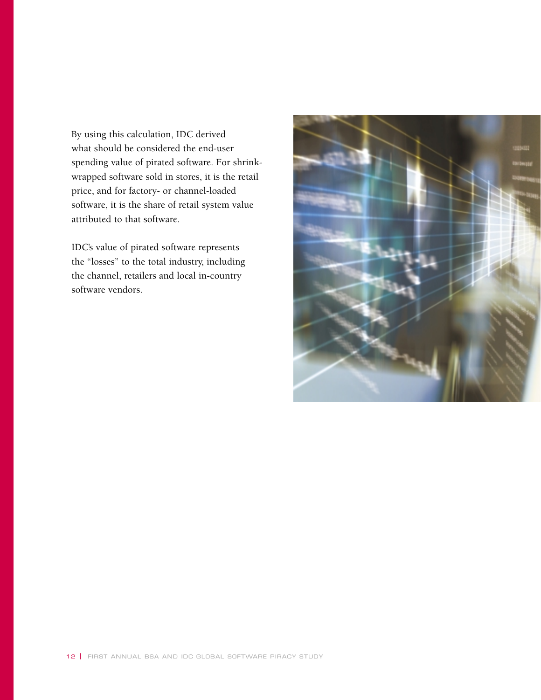By using this calculation, IDC derived what should be considered the end-user spending value of pirated software. For shrinkwrapped software sold in stores, it is the retail price, and for factory- or channel-loaded software, it is the share of retail system value attributed to that software.

IDC's value of pirated software represents the "losses" to the total industry, including the channel, retailers and local in-country software vendors.